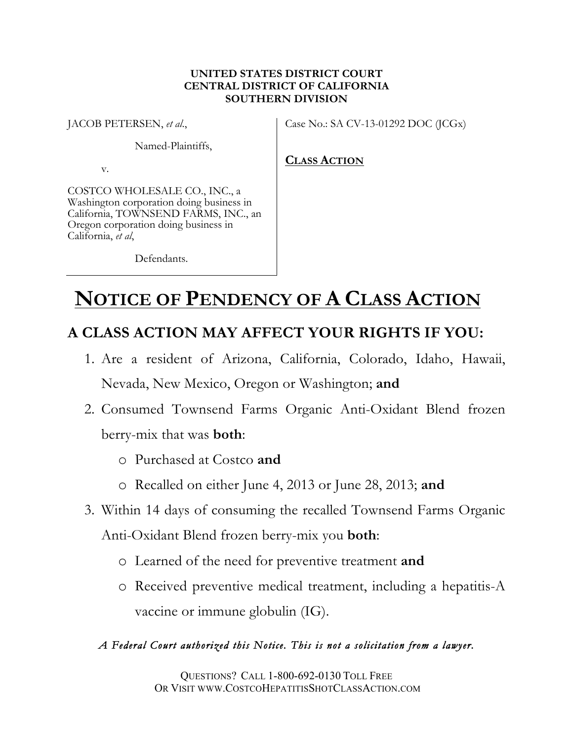# **UNITED STATES DISTRICT COURT CENTRAL DISTRICT OF CALIFORNIA SOUTHERN DIVISION**

JACOB PETERSEN, *et al*.,

Case No.: SA CV-13-01292 DOC (JCGx)

Named-Plaintiffs,

v.

COSTCO WHOLESALE CO., INC., a Washington corporation doing business in California, TOWNSEND FARMS, INC., an Oregon corporation doing business in California, *et al*,

**CLASS ACTION**

Defendants.

# **NOTICE OF PENDENCY OF A CLASS ACTION**

# **A CLASS ACTION MAY AFFECT YOUR RIGHTS IF YOU:**

- 1. Are a resident of Arizona, California, Colorado, Idaho, Hawaii, Nevada, New Mexico, Oregon or Washington; **and**
- 2. Consumed Townsend Farms Organic Anti-Oxidant Blend frozen berry-mix that was **both**:
	- o Purchased at Costco **and**
	- o Recalled on either June 4, 2013 or June 28, 2013; **and**
- 3. Within 14 days of consuming the recalled Townsend Farms Organic Anti-Oxidant Blend frozen berry-mix you **both**:
	- o Learned of the need for preventive treatment **and**
	- o Received preventive medical treatment, including a hepatitis-A vaccine or immune globulin (IG).

# *A Federal Court authorized this Notice. This is not a solicitation from a lawyer.*

QUESTIONS? CALL 1-800-692-0130 TOLL FREE OR VISIT WWW.COSTCOHEPATITISSHOTCLASSACTION.COM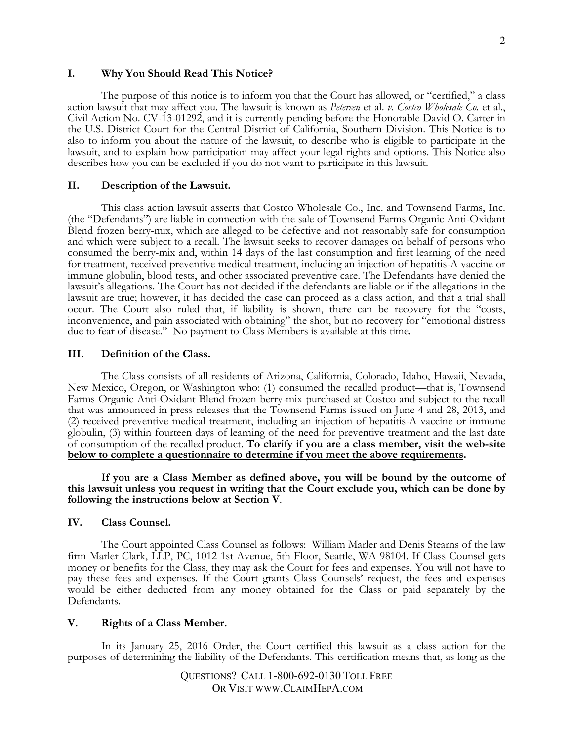#### **I. Why You Should Read This Notice?**

The purpose of this notice is to inform you that the Court has allowed, or "certified," a class action lawsuit that may affect you. The lawsuit is known as *Petersen* et al. v. Costco Wholesale Co. et al., Civil Action No. CV-13-01292, and it is currently pending before the Honorable David O. Carter in the U.S. District Court for the Central District of California, Southern Division. This Notice is to also to inform you about the nature of the lawsuit, to describe who is eligible to participate in the lawsuit, and to explain how participation may affect your legal rights and options. This Notice also describes how you can be excluded if you do not want to participate in this lawsuit.

#### **II. Description of the Lawsuit.**

This class action lawsuit asserts that Costco Wholesale Co., Inc. and Townsend Farms, Inc. (the "Defendants") are liable in connection with the sale of Townsend Farms Organic Anti-Oxidant Blend frozen berry-mix, which are alleged to be defective and not reasonably safe for consumption and which were subject to a recall. The lawsuit seeks to recover damages on behalf of persons who consumed the berry-mix and, within 14 days of the last consumption and first learning of the need for treatment, received preventive medical treatment, including an injection of hepatitis-A vaccine or immune globulin, blood tests, and other associated preventive care. The Defendants have denied the lawsuit's allegations. The Court has not decided if the defendants are liable or if the allegations in the lawsuit are true; however, it has decided the case can proceed as a class action, and that a trial shall occur. The Court also ruled that, if liability is shown, there can be recovery for the "costs, inconvenience, and pain associated with obtaining" the shot, but no recovery for "emotional distress due to fear of disease." No payment to Class Members is available at this time.

#### **III. Definition of the Class.**

The Class consists of all residents of Arizona, California, Colorado, Idaho, Hawaii, Nevada, New Mexico, Oregon, or Washington who: (1) consumed the recalled product—that is, Townsend Farms Organic Anti-Oxidant Blend frozen berry-mix purchased at Costco and subject to the recall that was announced in press releases that the Townsend Farms issued on June 4 and 28, 2013, and (2) received preventive medical treatment, including an injection of hepatitis-A vaccine or immune globulin, (3) within fourteen days of learning of the need for preventive treatment and the last date of consumption of the recalled product. **To clarify if you are a class member, visit the web-site below to complete a questionnaire to determine if you meet the above requirements.**

**If you are a Class Member as defined above, you will be bound by the outcome of this lawsuit unless you request in writing that the Court exclude you, which can be done by following the instructions below at Section V**.

#### **IV. Class Counsel.**

The Court appointed Class Counsel as follows: William Marler and Denis Stearns of the law firm Marler Clark, LLP, PC, 1012 1st Avenue, 5th Floor, Seattle, WA 98104. If Class Counsel gets money or benefits for the Class, they may ask the Court for fees and expenses. You will not have to pay these fees and expenses. If the Court grants Class Counsels' request, the fees and expenses would be either deducted from any money obtained for the Class or paid separately by the Defendants.

#### **V. Rights of a Class Member.**

In its January 25, 2016 Order, the Court certified this lawsuit as a class action for the purposes of determining the liability of the Defendants. This certification means that, as long as the

> QUESTIONS? CALL 1-800-692-0130 TOLL FREE OR VISIT WWW.CLAIMHEPA.COM